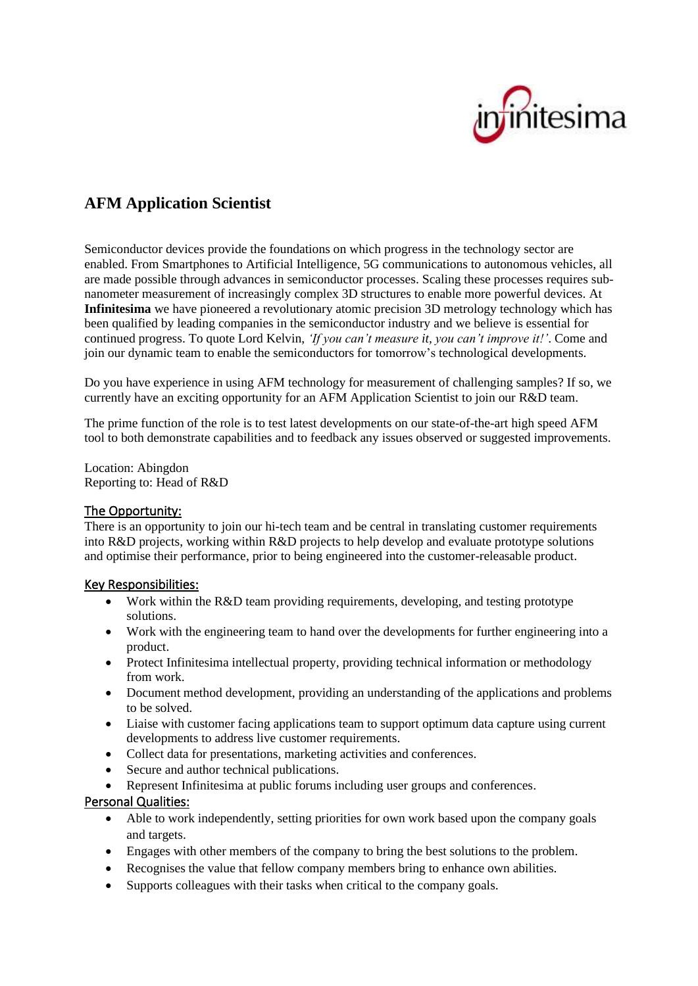

# **AFM Application Scientist**

Semiconductor devices provide the foundations on which progress in the technology sector are enabled. From Smartphones to Artificial Intelligence, 5G communications to autonomous vehicles, all are made possible through advances in semiconductor processes. Scaling these processes requires subnanometer measurement of increasingly complex 3D structures to enable more powerful devices. At **Infinitesima** we have pioneered a revolutionary atomic precision 3D metrology technology which has been qualified by leading companies in the semiconductor industry and we believe is essential for continued progress. To quote Lord Kelvin, *'If you can't measure it, you can't improve it!'*. Come and join our dynamic team to enable the semiconductors for tomorrow's technological developments.

Do you have experience in using AFM technology for measurement of challenging samples? If so, we currently have an exciting opportunity for an AFM Application Scientist to join our R&D team.

The prime function of the role is to test latest developments on our state-of-the-art high speed AFM tool to both demonstrate capabilities and to feedback any issues observed or suggested improvements.

Location: Abingdon Reporting to: Head of R&D

## The Opportunity:

There is an opportunity to join our hi-tech team and be central in translating customer requirements into R&D projects, working within R&D projects to help develop and evaluate prototype solutions and optimise their performance, prior to being engineered into the customer-releasable product.

## Key Responsibilities:

- Work within the R&D team providing requirements, developing, and testing prototype solutions.
- Work with the engineering team to hand over the developments for further engineering into a product.
- Protect Infinitesima intellectual property, providing technical information or methodology from work.
- Document method development, providing an understanding of the applications and problems to be solved.
- Liaise with customer facing applications team to support optimum data capture using current developments to address live customer requirements.
- Collect data for presentations, marketing activities and conferences.
- Secure and author technical publications.
- Represent Infinitesima at public forums including user groups and conferences.

#### Personal Qualities:

- Able to work independently, setting priorities for own work based upon the company goals and targets.
- Engages with other members of the company to bring the best solutions to the problem.
- Recognises the value that fellow company members bring to enhance own abilities.
- Supports colleagues with their tasks when critical to the company goals.